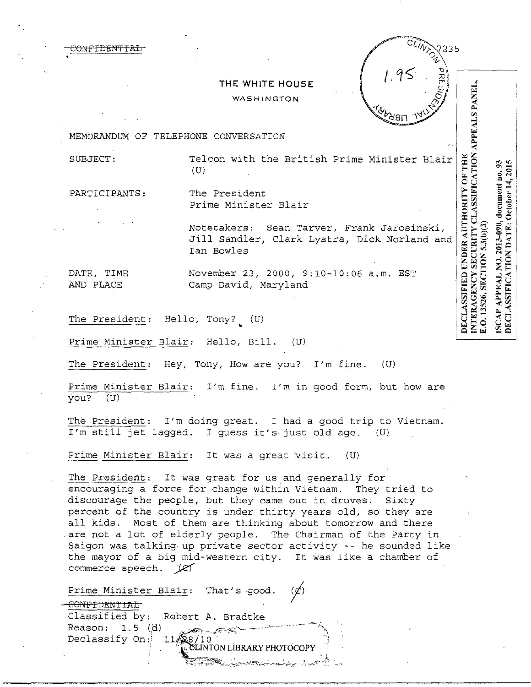## **THE WHITE HOUSE**

#### WASHINGTON

MEMORANDUM OF TELEPHONE CONVERSATION

<del>ONFIDENT</del>

SUBJECT: Telcon with the British Prime Minister Blair (U)

 $235$ 

INTERAGENCY SECURITY CLASSIFICATION APPEALS PANEL,<br>E.O. 13526, SECTION 5.3(b)(3)

O. 13526, SECTION 5.3(b)(3)

 $3.5$ 

 $\overline{a}$ 

2013-090, document

 $\overline{2}$ 

**APPEAL** 

SCAP.

October 14, 201

**ASSIFICATION DATE:** 

PARTICIPANTS: The President

Prime Minister Blair

DECLASSIFIED UNDER AUTHORITY OF THE Notetakers: Sean Tarver, Frank Jarosinski, norreamend. Sean farver, frame suresimple,<br>Jill Sandler, Clark Lystra, Dick Norland and Ian Bowles

DATE, TIME Movember 23, 2000, 9:10-10:06 a.m. EST AND PLACE Camp David, Maryland

The President: Hello, Tony? (U)

Prime Minister Blair: Hello, Bill. (U)

The President: Hey, Tony, How are you? I'm fine.  $(U)$ 

Prime Minister Blair: I'm fine. I'm in good form, but how are you? (U)

The President: I'm doing great. I had a good trip to Vietnam. I'm still jet lagged. I guess it's just old age. (U)

Prime Minister Blair: It was a great visit. (U)

The President: It was great for us and generally for encouraging a force for change within Vietnam. They tried to discourage the people, but they came out in droves. Sixty percent of the country is under thirty years old, so they are all kids. Most of them are thinking about tomorrow and there are not a lot of elderly people. The Chairman of the Party in Saigon was talking.up private sector activity -- he sounded like the mayor of a big mid-western city. It was like a chamber of commerce speech. (e)

Prime Minister Blair: That's good.

CONFIDENTIAL Classified by: Robert A. Bradtke Reason:  $1.5$  (d) Declassify On:

EINTON LIBRARY PHO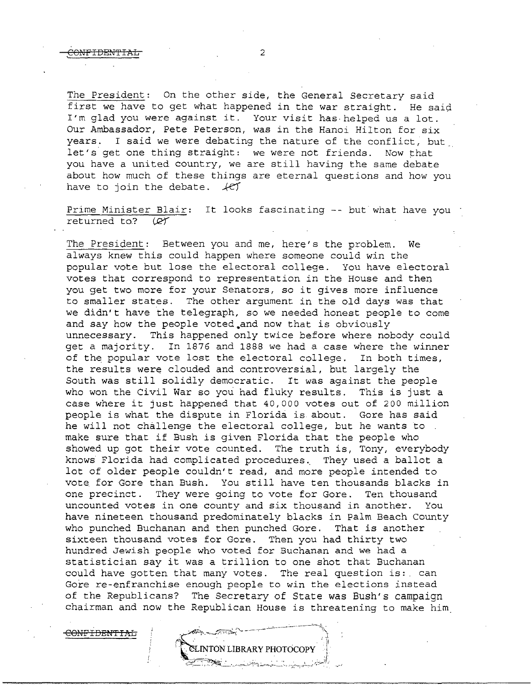The President: On the other side, the General Secretary said first we have to get what happened in the war straight. He said I'm glad you were against it. Your visit has· helped us a lot. Our Ambassador, Pete Peterson, was in the Hanoi Hilton for six years. I said we were debating the nature of the conflict, but let's get one thing straight: we were not friends. Now that you have a united country, we are still having the same debate about how much of these things are eternal questions and how you have to join the debate.  $\sqrt{CT}$ 

Prime Minister Blair: It looks fascinating -- but what have you · returned to? (QT)

The President: Between you and me, here's the problem. We always knew this could happen where someone could win the popular vote but lose the electoral college. You have electoral votes that correspond to representation in the House and then you get two more for your Senators, so *it* gives more influence to smaller states. The other argument in the old days was that we didn't have the telegraph, so we needed honest people to come and say how the people voted.and now that is obviously unnecessary. This happened only twice before where nobody could get a majority. In 1876 and 1888 we had a case where the winner of the popular vote lost the electoral college. In both times, the results were clouded and controversial, but largely the South was still solidly democratic. It was against the people who won the Civil War so you had fluky results. This is just a case where it just happened that 40,000 votes out of 200 million people is what the dispute in Florida is about. Gore has said he will not challenge the electoral college, but he wants to make sure that if Bush is given Florida that the people who showed up got their vote counted. The truth is, Tony, everybody knows Florida had complicated procedures.. They used a ballot a lot of older people couldn't read, and more people intended to vote for Gore than Bush. You still have ten thousands blacks in one precinct. They were going to vote for Gore. Ten thousand uncounted votes in one county and six thousand in another. You have nineteen thousand predominately blacks in Palm Beach County who punched Buchanan and then punched Gore. That is another sixteen thousand votes for Gore. Then you had thirty two hundred Jewish people who voted for Buchanan and we had a statistician say it was a trillion to one shot that Buchanan could have gotten that many votes. The real question is:. can Gore re-enfranchise enough people to win the elections instead of the Republicans? The Secretary of State was Bush's campaign chairman and now the Republican House is threatening to make him

INTON LIBRARY PHOTOCOPY

CONFIDENTIAL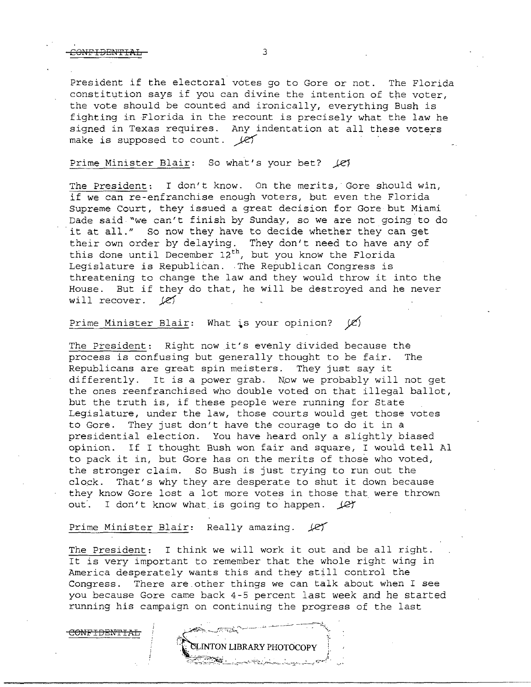CONFIDENTIAL 3

President if the electoral votes go to Gore or not. The Florida constitution says if you can divine the intention of the voter, the vote should be counted and ironically, everything Bush is fighting in Florida in the recount is precisely what the law he signed in Texas requires. Any indentation at all these voters make is supposed to count.  $\ell$ ef

## Prime Minister Blair: So what's your bet?  $\angle$ el

The President: I don't know. On the merits, Gore should win, if we can re-enfranchise enough voters, but even the Florida Supreme Court, they issued a great decision for Gore but Miami Dade said."we can't finish by Sunday, so we are not going to do it at all." So now they have to decide whether they can get their own order by delaying. They don't need to have any of this done until December  $12^{th}$ , but you know the Florida Legislature is Republican. The Republican Congress is threatening to change the law and they would throw it into the House. But if they do that, he will be destroyed and he never will recover.  $\ell$ e $\ell$ 

# Prime Minister Blair: What is your opinion?  $\mathscr{C}$

The President: Right now it's evenly divided because the process is confusing but generally thought to be fair. The process is confusing but generally thought to be fair. Republicans are great spin meisters. They just say it differently. It is a power grab. Now we probably will not get the ones reenfranchised who double voted on that illegal ballot, but the truth is, if these people were running for State Legislature, under the law, those courts would get those votes to Gore. They just don't have the courage to do it in a presidential election. You have heard only a slightly biased opinion. If I thought Bush won fair and square, I would tell Al to pack it in, but Gore has on the merits of those who voted, the stronger claim. So Bush is just trying to run out the clock. That's why they are desperate to shut it down because they know Gore lost a lot more votes in those that were thrown out. I don't know what is going to happen.  $\mathcal{L}$ 

#### Prime Minister Blair: Really amazing.  $\cancel{\ell}$

The President: I think we will work it out and be all right. It is very important to remember that the whole right wing in America desperately wants this and they still control the Congress. There are.other things we can talk about when I see you because Gore came back 4-5 percent last week and he started running his campaign on continuing the progress of the last

CONFIDEN'fIAL

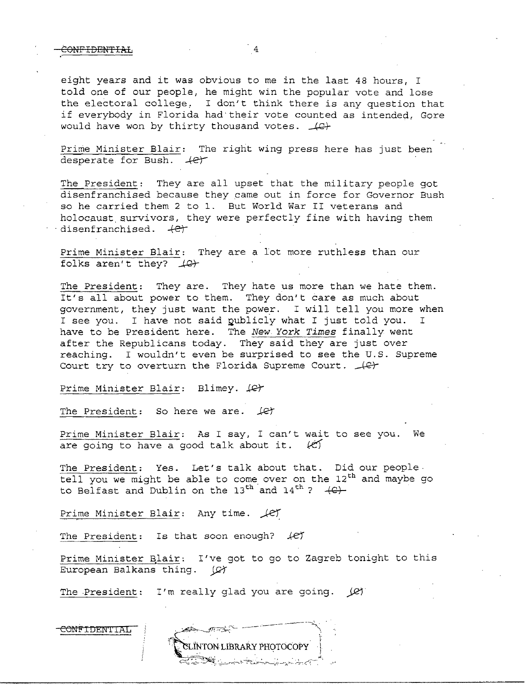eight years and it was obvious to me in the last 48 hours, I told one of our people, he might win the popular vote and lose the electoral college, I don't think there is any question that if everybody in Florida had·their vote counted as intended, Gore would have won by thirty thousand votes.  $\angle$ 

Prime Minister Blair: The right wing press here has just been desperate for Bush.  $+e^+$ 

The President: They are all upset that the military people got disenfranchised because they came out in force for Governor Bush so he carried them 2 to 1. But World War II veterans and holocaust. survivors, they were perfectly fine with having them disenfranchised. *.+er* 

Prime Minister Blair: They are a lot more ruthless than our folks aren't they?  $\angle$ e<sup>2</sup>

The President: They are. They hate us more than we hate them. It's all about power to them. They don't care as much about government, they just want the power. I will tell you more when I see you. I have not said publicly what I just told you. have to be President here. The New *York Times* finally went after the Republicans today. They said they are just over reaching. I wouldn't even be surprised to see the U.S. Supreme Court try to overturn the Florida Supreme Court.  $\Box$ 

Prime Minister Blair: Blimey. (C)

The President: So here we are.  $\angle$ et

Prime Minister Blair: As I say, I can't wait to see you. We are going to have a good talk about it.  $\langle \mathcal{C} \rangle$ 

The President: Yes. Let's talk about that. Did our people  $tell$  you we might be able to come over on the  $12<sup>th</sup>$  and maybe go to Belfast and Dublin on the  $13^{th}$  and  $14^{th}$  ?  $+C$ .

Prime Minister Blair: Any time.  $\sqrt{c}$ 

The President: Is that soon enough? *JeJ* 

Prime Minister Blair: I've got to go to Zagreb tonight to this European Balkans thing. (C)

The President: I'm really glad you are going.  $(2)$ 

#### COMFIDENIIAL

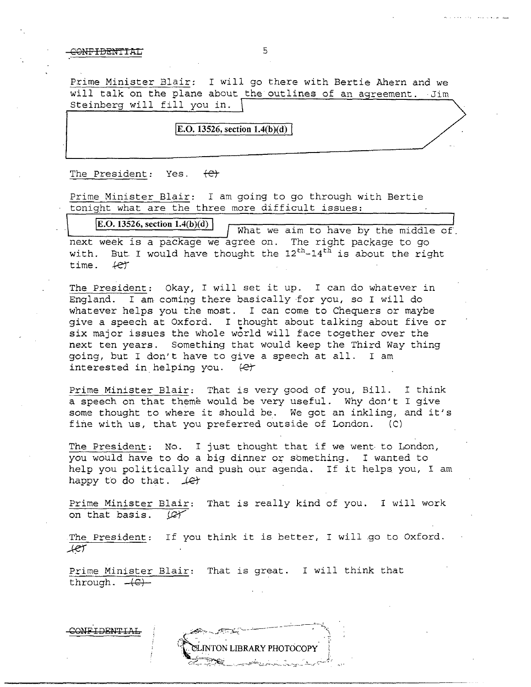### CONFIDEM'fIAL 5

Prime Minister Blair: I will go there with Bertie Ahern and we will talk on the plane about the outlines of an agreement. Jim Steinberg will fill you in.

### **i**E.O. 13526, section 1.4(b)(d) *I*

The President: Yes.  $\left\{\Theta\right\}$ 

Prime Minister Blair: I am going to go through with Bertie tonight what are the three more difficult issues:

**E.O. 13526, section 1.4(b)(d) I** What we aim to have by the middle of next week is a package we agree on. The right package to go with. But I would have thought the  $12^{th}-14^{th}$  is about the right time.  $f$ e $f$ 

The President: Okay, I will set it up. I can do whatever in England. I am coming there basically for you, so I will do whatever helps you the most. I can come to Chequers or maybe give a speech at Oxford. I thought about talking about five or six major issues the whole world will face together over the next ten years. Something that would keep the Third Way thing going, but I don't have to give a speech at all. I am interested in helping you.  $\theta$ 

Prime Minister Blair: That is very good of you, Bill. I think a speech on that theme would be very useful. Why don't I give some thought to where it should be. We got an inkling, and it's fine with us, that you preferred outside of London. (C) fine with us, that you preferred outside of London.

The President: No. I just thought that if we went to London, you would have to do a big dinner or something. I wanted to help you politically and push our agenda. If it helps you, I am happy to do that.  $\sqrt{e}$ 

Prime Minister Blair: That is really kind of you. I will work on that basis.  $\mathcal{Q}$ 

The President: If you think it is better, I will go to Oxford. *..ke1'* 

**INTON LIBRARY PHOTOCOPY** 

Prime Minister Blair: That is great. I will think that through.  $+6$ -

**ONFIDENTIAL**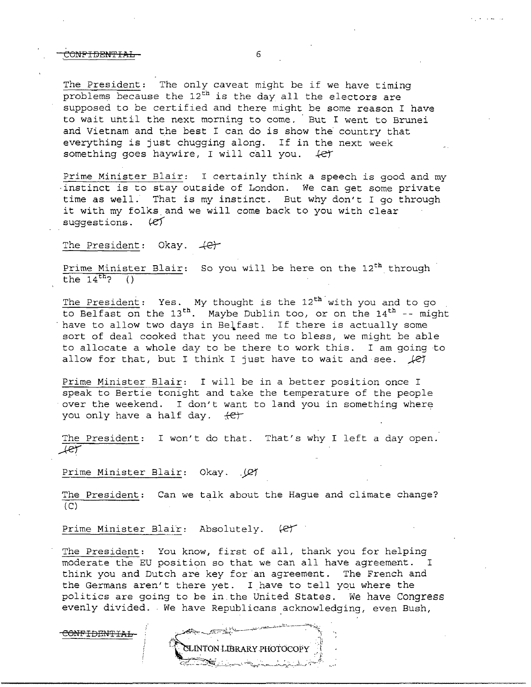#### ,CONFIDEN'fIAL 6

The President: The only caveat might be if we have timing problems because the  $12^{\text{th}}$  is the day all the electors are supposed to be certified and there might be some reason I have to wait until the next morning to come. But I went to Brunei and Vietnam and the best I can do is show the country that everything is just chugging along. If in the next week something goes haywire, I will call you.  $4e^{i\pi}$ 

Prime Minister Blair: I certainly think a speech is good and my instinct is to stay outside of London. We can get some private time as well. That is my instinct. But why don't I go through it with my folks and we will come back to you with clear<br>suggestions. (e) suggestions.

### The President: Okay.  $+e^+$

Prime Minister Blair: So you will be here on the  $12<sup>th</sup>$  through the  $14^{th}$ ? ()

The President: Yes. My thought is the  $12<sup>th</sup>$  with you and to go to Belfast on the  $13^{th}$ . Maybe Dublin too, or on the  $14^{th}$  -- might have to allow two days in Belfast. If there is actually some sort of deal cooked that you need me to bless, we might be able to allocate a whole day to be there to work this. I am going to allow for that, but I think I just have to wait and see.  $\angle$ *e1* 

Prime Minister Blair: I will be in a better position once I speak to Bertie tonight and take the temperature of the people over the weekend. I don't want to land you in something where you only have a half day. <del>(C)</del>

The President: I won't do that. That's why I left a day open. *\_,.ke')* 

Prime Minister Blair: Okay. . (2)

The President: Can we talk about the Hague and climate change?  $(C)$ 

Prime Minister Blair: Absolutely. (et

The President: You know, first of all, thank you for helping moderate the EU position so that we can all have agreement. I think you and Dutch are key for an agreement. The French and the Germans aren't there yet. I have to tell you where the politics are going to be in.the United States. We have Congress evenly divided. We have Republicans \_acknowledging, even Bush,

C<del>ONFIDENTIAL</del>

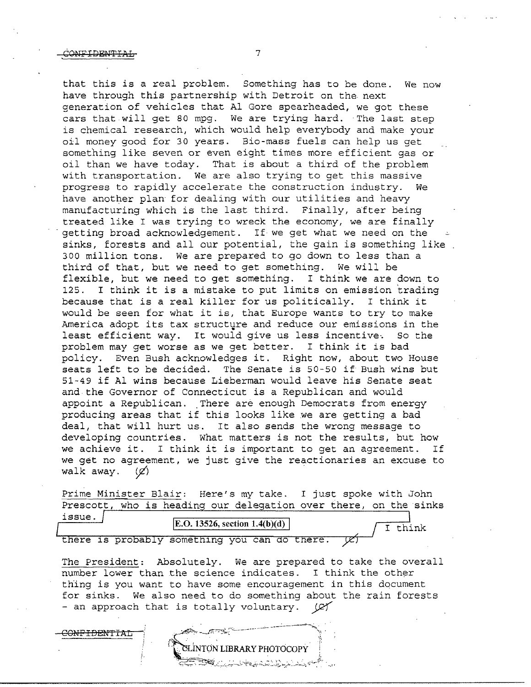that this is a real problem. Something has to be done. We now have through this partnership with Detroit on the next generation of vehicles that Al Gore spearheaded, we got these cars that will get 80 mpg. We are trying hard. The last step is chemical research, which would help everybody and make your oil money good for 30 years. Bio-mass fuels can help us get something like seven or even eight times more efficient gas or oil than we have today. That is about a third of the problem with transportation. We are also trying to get this massive progress to rapidly accelerate the construction industry. We have another plan for dealing with our utilities and heavy manufacturing which is the last third. Finally, after being treated like I was trying to wreck the economy, we are finally getting broad acknowledgement. If we get what we need on the sinks, forests and all our potential, the gain is something like 300 million tons. We are prepared to go down to less than a third of that, but we need to get something. We will be flexible, but we need to get something. I think we are down to 125. I think it is a mistake to put limits on emission 'trading because that is a real killer for us politically. I think it would be seen for what it is, that Europe wants to try to make America adopt its tax structure and reduce our emissions in the least efficient way. It would give us less incentive. So the least efficient way. It would give us less incentive. problem may get worse as we get better. I think it is bad policy. Even Bush acknowledges it. Right now, about two House seats left to be decided. The Senate is 50-50 if Bush wins but 51-49 if Al wins because Lieberman would leave his Senate seat and the Governor of Connecticut is a Republican and would appoint a Republican. There are enough Democrats from energy producing areas that if this looks like we are getting a bad deal, that will hurt us. It also sends the wrong message to developing countries. What matters is not the results, but how we achieve it. I think it is important to get an agreement. If we get no agreement, we just give the reactionaries an excuse to walk away.  $(\emptyset)$ 

Prime Minister Blair: Here's my take. I just spoke with John Prescott, who is heading our delegation over there, on the sinks issue.

I think

| issue. |  |  | $\mathbf{E}.\mathbf{O}.\mathbf{13526}$ , section 1.4(b)(d) |  |  |  |
|--------|--|--|------------------------------------------------------------|--|--|--|
|        |  |  |                                                            |  |  |  |
|        |  |  | there is probably something you can do there.              |  |  |  |

The President: Absolutely. We are prepared to take the overall number lower than the science indicates. I think the other thing is you want to have some encouragement in this document for sinks. We also need to do something about the rain forests - an approach that is totally voluntary. ( $\alpha$ 

**INTON LIBRARY PHOTOCOPY** 

ON<del>FIDENTIAL</del>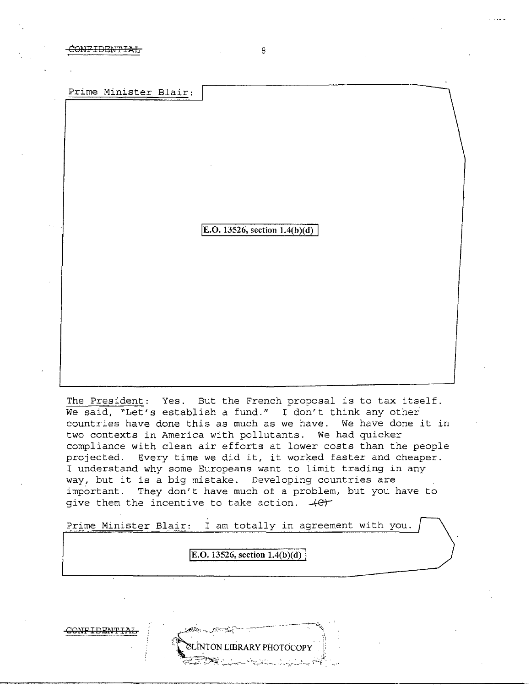CONFIDEN'fIAL 8

Prime Minister Blair:

E.O. 13526, section  $1.4(b)(d)$ 

The President: Yes. But the French proposal *is* to tax itself. We said, "Let's establish a fund." I don't think any other countries have done this as much as we have. We have done it in two contexts in America with pollutants. We had quicker compliance with clean air efforts at lower costs than the people projected. Every time we did it, it worked faster and cheaper. I understand why some Europeans want to limit trading *in* any way, but it is a big mistake. Developing countries are important. They don't have much of a problem, but you have to give them the incentive to take action.  $+e^+$ 

Prime Minister Blair: I am totally in agreement with you.

**E.O. 13526, section 1.4(b)(d)** 

**INTON LIBRARY PHOTOCOPY** 

CONFIDENTI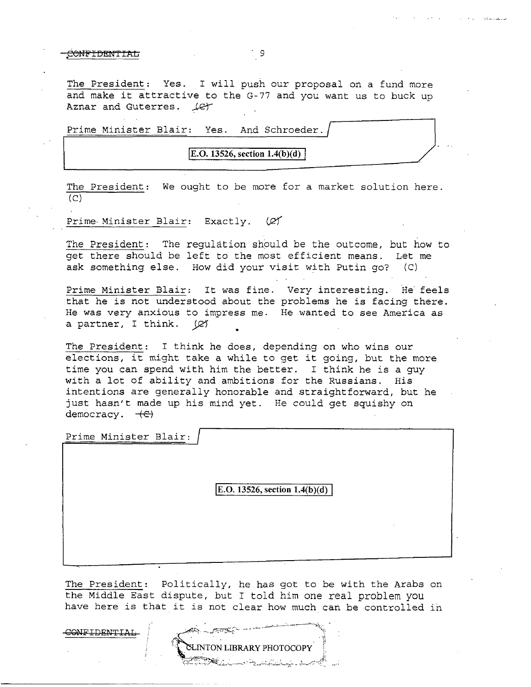#### CONFIDENTIAL 9

The President: Yes. I will push our proposal on a fund more and make it attractive to the G-77 and you want us to buck up Aznar and Guterres.  $\text{LQ}+$ 

Prime Minister Blair: Yes. And Schroeder.

 $E. O. 13526$ , section  $1.4(b)(d)$ 

The President: We ought to be more for a market solution here.  $(C)$ 

Prime-Minister Blair: Exactly.  $\varnothing$ 

The President: The requlation should be the outcome, but how to get there should be left to the most efficient means. Let me ask something else. How did your visit with Putin go? (C)

Prime Minister Blair: It was fine. Very interesting. He feels that he is not understood about the problems he is facing there. He was very anxious to impress me. He wanted to see America as a partner, I think. (e)

The President: I think he does, depending on who wins our elections, it might take a while to get it going, but the more time you can spend with him the better. I think he is a guy with a lot of ability and ambitions for the Russians. His intentions are generally honorable and straightforward, but he just hasn't made up his mind yet. He could get squishy on democracy.  $+e$ 

Prime Minister Blair:

CONFIDENTIAI

**IE.O. 13526, section 1.4(b)(d)** 

The President: Politically, he has got to be with the Arabs on the Middle East dispute, but I told him one real problem you have here is that it is not clear how much can be controlled in

INTON LIBRARY PHOTOCOPY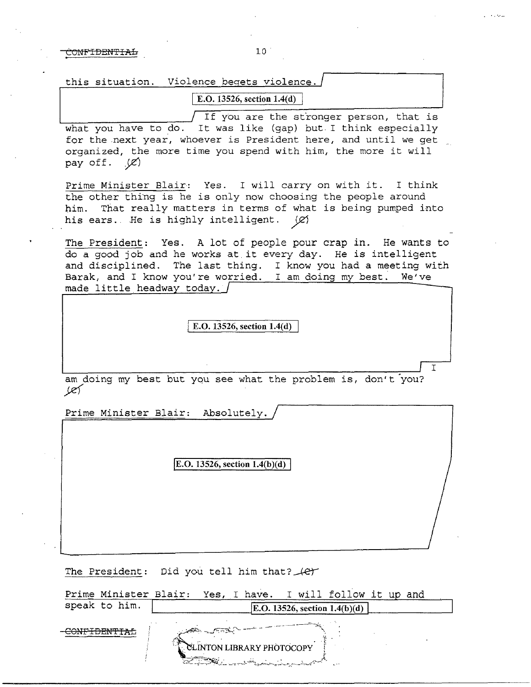CONFIDEH'PIA:L 10 .

| this situation. Violence begets violence. |  |
|-------------------------------------------|--|
| <sup>1</sup> E.O. 13526, section $1.4(d)$ |  |

If you are the stronger person, that is what you have to do. It was like (gap) but I think especially for the next year, whoever is President here, and until we get organized, the more time you spend with him, the more it will pay off.  $\mathcal{L}$ 

Prime Minister Blair: Yes. I will carry on with it. I think the other thing is he is only now choosing the people around him. That really matters in terms of what is being pumped into his ears. He is highly intelligent.  $\varnothing$ 

The President: Yes. A lot of people pour crap in. He wants to do a good job and he works at.it every day. He is intelligent and disciplined. The last thing. I know you had a meeting with Barak, and I know you're worried. I am doing my best. We've made little headway today.  $\int$ 

E.O. 13526, section  $1.4(d)$ 

am doing my best but you see what the problem is, don't you?<br> $\cancel{(e)}$ 

I

Prime Minister Blair: Absolutely.

**E.O.** 13526, section  $1.4(b)(d)$ 

The President: Did you tell him that?  $#$ 

|               | Prime Minister Blair: Yes, I have. I will follow it up and |  |                                                                                                                                                                                                                                                                                                                                                                                                                                                                       |                                |  |  |
|---------------|------------------------------------------------------------|--|-----------------------------------------------------------------------------------------------------------------------------------------------------------------------------------------------------------------------------------------------------------------------------------------------------------------------------------------------------------------------------------------------------------------------------------------------------------------------|--------------------------------|--|--|
| speak to him. |                                                            |  |                                                                                                                                                                                                                                                                                                                                                                                                                                                                       | [E.O. 13526, section 1.4(b)(d) |  |  |
|               | CLINTON LIBRARY PHOTOCOPY                                  |  | The company of the company of the company of the company of the company of the company of the company of the company of the company of the company of the company of the company of the company of the company of the company<br><u> Stanislation and Standard Standard Standard Standard Standard Standard Standard Standard Standard Standard Standard Standard Standard Standard Standard Standard Standard Standard Standard Standard Standard Standard Stand</u> |                                |  |  |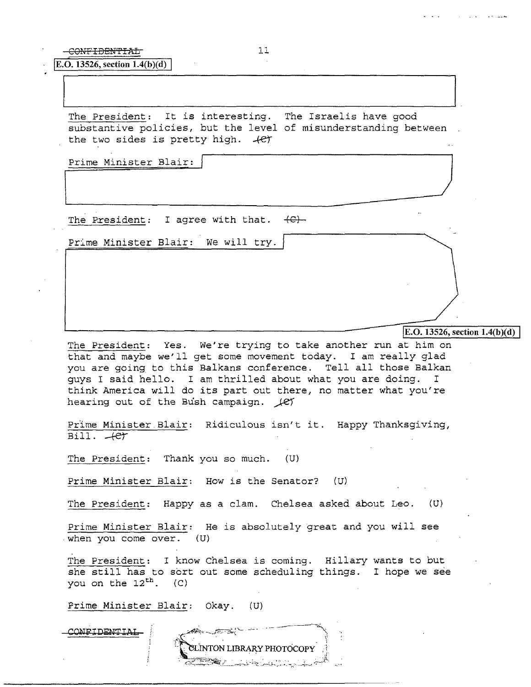-CONFIDENTIAL 11

**E.O. 13526, section 1.4(b)(d)** 

The President: It is interesting. The Israelis have good substantive policies, but the level of misunderstanding between the two sides is pretty high.  $+e^{+}$ the two sides is pretty high.  $+e^+$ <br>Prime Minister Blair:

Prime Minister Blair: *)* 

The President: I agree with that.  $\leftarrow$ 

Prime Minister Blair: We will try.

E.O. 13526, section  $1.4(b)(d)$ 

The President: Yes. We're trying to take another run at him on that and maybe we'll get some movement today. I am really glad you are going to this Balkans conference. Tell all those Balkan guys I said hello. I am thrilled about what you are doing. I think America will do its part out there, no matter what you're hearing out of the Bush campaign.  $\angle$ e7

Prime Minister. Blair: Ridiculous isn't it. Happy Thanksgiving,  $Bill.$   $+e$  $+$ 

The President: Thank you so much. (U)

Prime Minister Blair: How is the Senator? (U)

The President: Happy as a clam. Chelsea asked about Leo. (U)

Prime Minister Blair: He is absolutely great and you will see when you come over. (U)

The President: I know Chelsea is coming. Hillary wants to but she still has to sort out some scheduling things. I hope we see you on the  $12^{th}$ . (C)

NTON LIBRARY PHOTOCOPY

Prime Minister Blair: Okay. (U)

ONFIDENTIAL